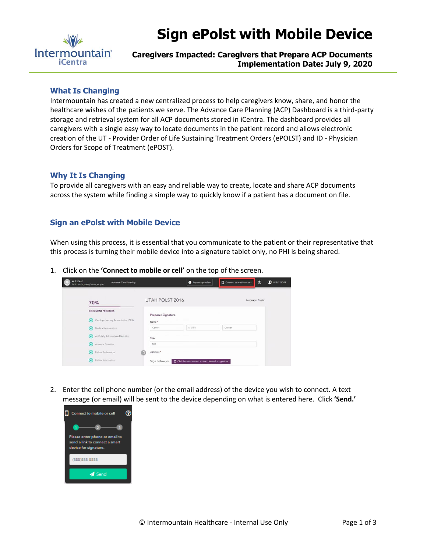

# **Sign ePolst with Mobile Device**

## **Caregivers Impacted: Caregivers that Prepare ACP Documents Implementation Date: July 9, 2020**

#### **What Is Changing**

Intermountain has created a new centralized process to help caregivers know, share, and honor the healthcare wishes of the patients we serve. The Advance Care Planning (ACP) Dashboard is a third-party storage and retrieval system for all ACP documents stored in iCentra. The dashboard provides all caregivers with a single easy way to locate documents in the patient record and allows electronic creation of the UT - Provider Order of Life Sustaining Treatment Orders (ePOLST) and ID - Physician Orders for Scope of Treatment (ePOST).

#### **Why It Is Changing**

To provide all caregivers with an easy and reliable way to create, locate and share ACP documents across the system while finding a simple way to quickly know if a patient has a document on file.

### **Sign an ePolst with Mobile Device**

When using this process, it is essential that you communicate to the patient or their representative that this process is turning their mobile device into a signature tablet only, no PHI is being shared.

1. Click on the **'Connect to mobile or cell'** on the top of the screen.

| A Xztest<br><b>Advance Care Planning</b><br>DOB: Jan 01, 1980 (Female, 40 y/o)                |                           | Report a problem                                          | Connect to mobile or cell | $^{\circ}$        | <b>D</b> LESLY GOFF |
|-----------------------------------------------------------------------------------------------|---------------------------|-----------------------------------------------------------|---------------------------|-------------------|---------------------|
| 70%                                                                                           | UTAH POLST 2016           |                                                           |                           | Language: English |                     |
| <b>DOCUMENT PROGRESS</b><br>Cardiopulmonary Resuscitation (CPR)<br>$\tilde{\phantom{a}}$      | <b>Preparer Signature</b> |                                                           |                           |                   |                     |
| Medical Interventions<br>$\omega$                                                             | Name*<br>Cerner           | Middle                                                    | Cerner                    |                   |                     |
| Artificially Administered Nutrition<br>$\omega$<br>Advance Directive<br>$\tilde{\phantom{a}}$ | Title<br><b>MD</b>        |                                                           |                           |                   |                     |
| Patient Preferences<br>$\omega$                                                               | Signature *               |                                                           |                           |                   |                     |
| Patient Information<br>ω                                                                      | Sign below, or            | $\Box$ Click here to connect a smart device for signature |                           |                   |                     |

2. Enter the cell phone number (or the email address) of the device you wish to connect. A text message (or email) will be sent to the device depending on what is entered here. Click **'Send.'**

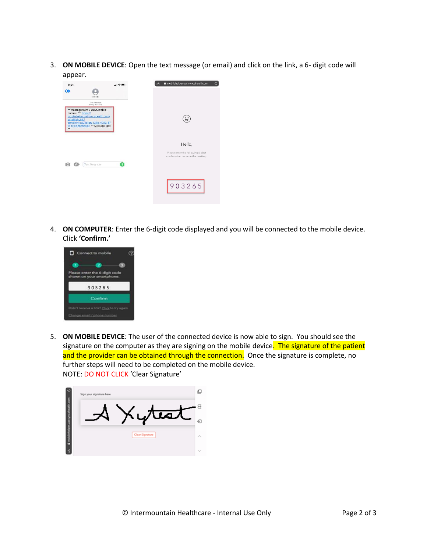3. **ON MOBILE DEVICE**: Open the text message (or email) and click on the link, a 6- digit code will appear.



4. **ON COMPUTER**: Enter the 6-digit code displayed and you will be connected to the mobile device. Click **'Confirm.'**



5. **ON MOBILE DEVICE**: The user of the connected device is now able to sign. You should see the signature on the computer as they are signing on the mobile device. The signature of the patient and the provider can be obtained through the connection. Once the signature is complete, no further steps will need to be completed on the mobile device. NOTE: DO NOT CLICK 'Clear Signature'